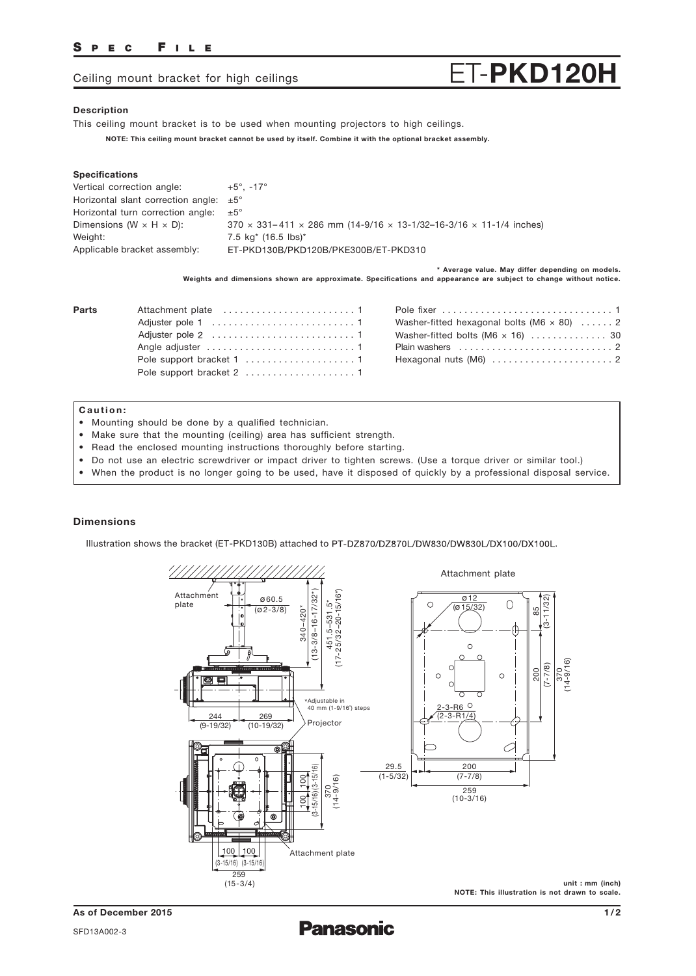## SPEC FILE

# Ceiling mount bracket for high ceilings  $ET-PKD120H$

### Description

This ceiling mount bracket is to be used when mounting projectors to high ceilings.

NOTE: This ceiling mount bracket cannot be used by itself. Combine it with the optional bracket assembly.

#### Specifications

| $+5^\circ$ . -17°                                                                |
|----------------------------------------------------------------------------------|
| Horizontal slant correction angle: $\pm 5^{\circ}$                               |
| Horizontal turn correction angle: $\pm 5^{\circ}$                                |
| $370 \times 331 - 411 \times 286$ mm (14-9/16 x 13-1/32-16-3/16 x 11-1/4 inches) |
| 7.5 kg <sup>*</sup> (16.5 lbs) <sup>*</sup>                                      |
| ET-PKD130B/PKD120B/PKE300B/ET-PKD310                                             |
|                                                                                  |

\* Average value. May differ depending on models. Weights and dimensions shown are approximate. Specifications and appearance are subject to change without notice.

| Parts | Pole  |
|-------|-------|
|       | Was   |
|       | Was   |
|       | Plair |
|       | Hex   |
|       |       |

| Washer-fitted hexagonal bolts (M6 $\times$ 80)  2 |
|---------------------------------------------------|
| Washer-fitted bolts (M6 $\times$ 16)  30          |
|                                                   |
|                                                   |
|                                                   |

#### Caution:

- Mounting should be done by a qualified technician.
- Make sure that the mounting (ceiling) area has sufficient strength.
- Read the enclosed mounting instructions thoroughly before starting.
- Do not use an electric screwdriver or impact driver to tighten screws. (Use a torque driver or similar tool.)
- When the product is no longer going to be used, have it disposed of quickly by a professional disposal service.

### Dimensions

Illustration shows the bracket (ET-PKD130B) attached to PT-DZ870/DZ870L/DW830/DW830L/DX100/DX100L.



As of December 2015 SFD13A002-3